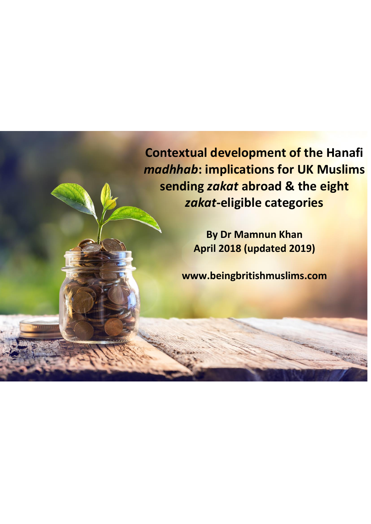**Contextual development of the Hanafi**  *madhhab***: implications for UK Muslims sending** *zakat* **abroad & the eight**  *zakat***-eligible categories**

> **By Dr Mamnun Khan April 2018 (updated 2019)**

**www.beingbritishmuslims.com**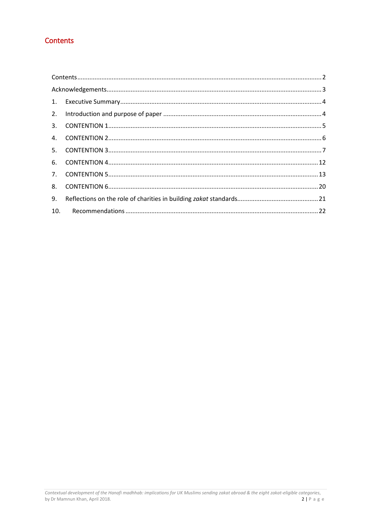## <span id="page-1-0"></span>Contents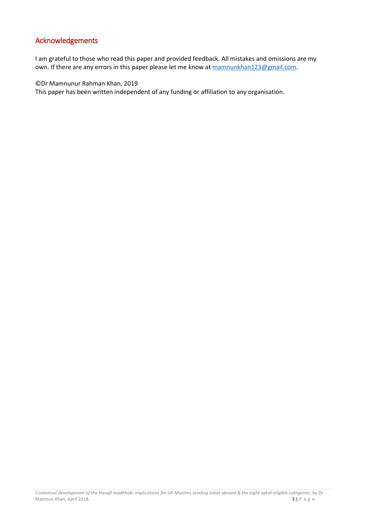### <span id="page-2-0"></span>Acknowledgements

I am grateful to those who read this paper and provided feedback. All mistakes and omissions are my own. If there are any errors in this paper please let me know a[t mamnunkhan123@gmail.com.](mailto:mamnunkhan123@gmail.com)

©Dr Mamnunur Rahman Khan, 2019

This paper has been written independent of any funding or affiliation to any organisation.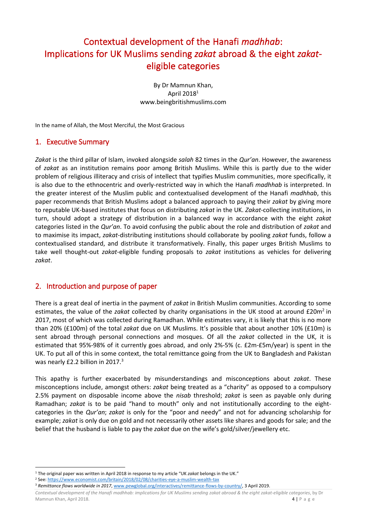# Contextual development of the Hanafi *madhhab*: Implications for UK Muslims sending *zakat* abroad & the eight *zakat*eligible categories

By Dr Mamnun Khan, April 2018 1 www.beingbritishmuslims.com

In the name of Allah, the Most Merciful, the Most Gracious

### <span id="page-3-0"></span>1. Executive Summary

*Zakat* is the third pillar of Islam, invoked alongside *salah* 82 times in the *Qur'an*. However, the awareness of *zakat* as an institution remains poor among British Muslims. While this is partly due to the wider problem of religious illiteracy and crisis of intellect that typifies Muslim communities, more specifically, it is also due to the ethnocentric and overly-restricted way in which the Hanafi *madhhab* is interpreted. In the greater interest of the Muslim public and contextualised development of the Hanafi *madhhab*, this paper recommends that British Muslims adopt a balanced approach to paying their *zakat* by giving more to reputable UK-based institutes that focus on distributing *zakat* in the UK. *Zakat*-collecting institutions, in turn, should adopt a strategy of distribution in a balanced way in accordance with the eight *zakat* categories listed in the *Qur'an*. To avoid confusing the public about the role and distribution of *zakat* and to maximise its impact, *zakat*-distributing institutions should collaborate by pooling *zakat* funds, follow a contextualised standard, and distribute it transformatively. Finally, this paper urges British Muslims to take well thought-out *zakat*-eligible funding proposals to *zakat* institutions as vehicles for delivering *zakat*.

### <span id="page-3-1"></span>2. Introduction and purpose of paper

1

There is a great deal of inertia in the payment of *zakat* in British Muslim communities. According to some estimates, the value of the zakat collected by charity organisations in the UK stood at around £20m<sup>2</sup> in 2017, most of which was collected during Ramadhan. While estimates vary, it is likely that this is no more than 20% (£100m) of the total *zakat* due on UK Muslims. It's possible that about another 10% (£10m) is sent abroad through personal connections and mosques. Of all the *zakat* collected in the UK, it is estimated that 95%-98% of it currently goes abroad, and only 2%-5% (c. £2m-£5m/year) is spent in the UK. To put all of this in some context, the total remittance going from the UK to Bangladesh and Pakistan was nearly £2.2 billion in 2017.<sup>3</sup>

This apathy is further exacerbated by misunderstandings and misconceptions about *zakat*. These misconceptions include, amongst others: *zakat* being treated as a "charity" as opposed to a compulsory 2.5% payment on disposable income above the *nisab* threshold; *zakat* is seen as payable only during Ramadhan; *zakat* is to be paid "hand to mouth" only and not institutionally according to the eightcategories in the *Qur'an*; *zakat* is only for the "poor and needy" and not for advancing scholarship for example; *zakat* is only due on gold and not necessarily other assets like shares and goods for sale; and the belief that the husband is liable to pay the *zakat* due on the wife's gold/silver/jewellery etc.

<sup>1</sup> The original paper was written in April 2018 in response to my article "UK *zakat* belongs in the UK."

<sup>2</sup> See[: https://www.economist.com/britain/2018/02/08/charities-eye-a-muslim-wealth-tax](https://www.economist.com/britain/2018/02/08/charities-eye-a-muslim-wealth-tax)

<sup>3</sup> *Remittance flows worldwide in 2017*[, www.pewglobal.org/interactives/remittance-flows-by-country/,](http://www.pewglobal.org/interactives/remittance-flows-by-country/) 3 April 2019.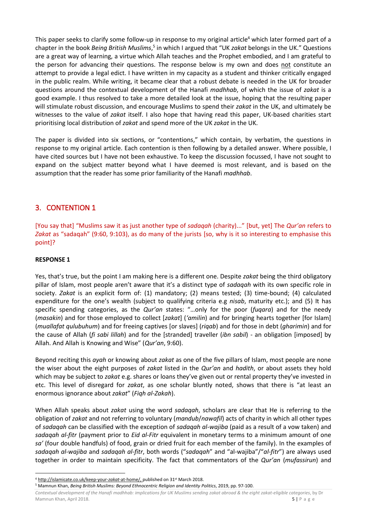This paper seeks to clarify some follow-up in response to my original article<sup>4</sup> which later formed part of a chapter in the book *Being British Muslims*, 5 in which I argued that "UK *zakat* belongs in the UK." Questions are a great way of learning, a virtue which Allah teaches and the Prophet embodied, and I am grateful to the person for advancing their questions. The response below is my own and does not constitute an attempt to provide a legal edict. I have written in my capacity as a student and thinker critically engaged in the public realm. While writing, it became clear that a robust debate is needed in the UK for broader questions around the contextual development of the Hanafi *madhhab*, of which the issue of *zakat* is a good example. I thus resolved to take a more detailed look at the issue, hoping that the resulting paper will stimulate robust discussion, and encourage Muslims to spend their *zakat* in the UK, and ultimately be witnesses to the value of *zakat* itself. I also hope that having read this paper, UK-based charities start prioritising local distribution of *zakat* and spend more of the UK *zakat* in the UK.

The paper is divided into six sections, or "contentions," which contain, by verbatim, the questions in response to my original article. Each contention is then following by a detailed answer. Where possible, I have cited sources but I have not been exhaustive. To keep the discussion focussed, I have not sought to expand on the subject matter beyond what I have deemed is most relevant, and is based on the assumption that the reader has some prior familiarity of the Hanafi *madhhab*.

### <span id="page-4-0"></span>3. CONTENTION 1

[You say that] "Muslims saw it as just another type of *sadaqah* (charity)..." [but, yet] The *Qur'an* refers to *Zakat* as "sadaqah" (9:60, 9:103), as do many of the jurists [so, why is it so interesting to emphasise this point]?

#### **RESPONSE 1**

Yes, that's true, but the point I am making here is a different one. Despite *zakat* being the third obligatory pillar of Islam, most people aren't aware that it's a distinct type of *sadaqah* with its own specific role in society. *Zakat* is an explicit form of: (1) mandatory; (2) means tested; (3) time-bound; (4) calculated expenditure for the one's wealth (subject to qualifying criteria e.g *nisab*, maturity etc.); and (5) It has specific spending categories, as the *Qur'an* states: "…only for the poor (*fuqara*) and for the needy (*masakin*) and for those employed to collect [*zakat*] (*'amilin*) and for bringing hearts together [for Islam] (*muallafat qulubuhum*) and for freeing captives [or slaves] (*riqab*) and for those in debt (*gharimin*) and for the cause of Allah (*fi sabi lillah*) and for the [stranded] traveller (*ibn sabil*) - an obligation [imposed] by Allah. And Allah is Knowing and Wise" (*Qur'an*, 9:60).

Beyond reciting this *ayah* or knowing about *zakat* as one of the five pillars of Islam, most people are none the wiser about the eight purposes of *zakat* listed in the *Qur'an* and *hadith*, or about assets they hold which may be subject to *zakat* e.g. shares or loans they've given out or rental property they've invested in etc. This level of disregard for *zakat*, as one scholar bluntly noted, shows that there is "at least an enormous ignorance about *zakat*" (*Fiqh al-Zakah*).

When Allah speaks about *zakat* using the word *sadaqah*, scholars are clear that He is referring to the obligation of *zakat* and not referring to voluntary (*mandub*/*nawafil*) acts of charity in which all other types of *sadaqah* can be classified with the exception of *sadaqah al-wajiba* (paid as a result of a vow taken) and *sadaqah al-fitr* (payment prior to *Eid al-Fitr* equivalent in monetary terms to a minimum amount of one *sa'* (four double handfuls) of food, grain or dried fruit for each member of the family). In the examples of *sadaqah al-wajiba* and *sadaqah al-fitr*, both words ("*sadaqah*" and "al-wajiba"/"*al-fitr*") are always used together in order to maintain specificity. The fact that commentators of the *Qur'an* (*mufassirun*) and

*Contextual development of the Hanafi madhhab: implications for UK Muslims sending zakat abroad & the eight zakat-eligible categories*, by Dr Mamnun Khan, April 2018. **5** | P a g e

<sup>1</sup> <sup>4</sup> [http://islamicate.co.uk/keep-your-](http://islamicate.co.uk/keep-your-zakah-at-home/)zakat-at-home/, published on 31<sup>st</sup> March 2018.

<sup>5</sup> Mamnun Khan, *Being British Muslims: Beyond Ethnocentric Religion and Identity Politics*, 2019, pp. 97-100.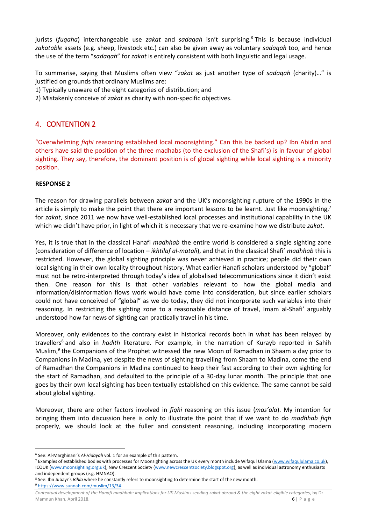jurists (*fuqaha*) interchangeable use *zakat* and *sadaqah* isn't surprising. <sup>6</sup> This is because individual *zakatable* assets (e.g. sheep, livestock etc.) can also be given away as voluntary *sadaqah* too, and hence the use of the term "*sadaqah*" for *zakat* is entirely consistent with both linguistic and legal usage.

To summarise, saying that Muslims often view "*zakat* as just another type of *sadaqah* (charity)…" is justified on grounds that ordinary Muslims are:

- 1) Typically unaware of the eight categories of distribution; and
- 2) Mistakenly conceive of *zakat* as charity with non-specific objectives.

### <span id="page-5-0"></span>4. CONTENTION 2

"Overwhelming *fiqhi* reasoning established local moonsighting." Can this be backed up? Ibn Abidin and others have said the position of the three madhabs (to the exclusion of the Shafi's) is in favour of global sighting. They say, therefore, the dominant position is of global sighting while local sighting is a minority position.

#### **RESPONSE 2**

The reason for drawing parallels between *zakat* and the UK's moonsighting rupture of the 1990s in the article is simply to make the point that there are important lessons to be learnt. Just like moonsighting,<sup>7</sup> for *zakat*, since 2011 we now have well-established local processes and institutional capability in the UK which we didn't have prior, in light of which it is necessary that we re-examine how we distribute *zakat*.

Yes, it is true that in the classical Hanafi *madhhab* the entire world is considered a single sighting zone (consideration of difference of location – *ikhtilaf al-matali*), and that in the classical Shafi' *madhhab* this is restricted. However, the global sighting principle was never achieved in practice; people did their own local sighting in their own locality throughout history. What earlier Hanafi scholars understood by "global" must not be retro-interpreted through today's idea of globalised telecommunications since it didn't exist then. One reason for this is that other variables relevant to how the global media and information/disinformation flows work would have come into consideration, but since earlier scholars could not have conceived of "global" as we do today, they did not incorporate such variables into their reasoning. In restricting the sighting zone to a reasonable distance of travel, Imam al-Shafi' arguably understood how far news of sighting can practically travel in his time.

Moreover, only evidences to the contrary exist in historical records both in what has been relayed by travellers<sup>8</sup> and also in *hadith* literature. For example, in the narration of Kurayb reported in Sahih Muslim,<sup>9</sup> the Companions of the Prophet witnessed the new Moon of Ramadhan in Shaam a day prior to Companions in Madina, yet despite the news of sighting travelling from Shaam to Madina, come the end of Ramadhan the Companions in Madina continued to keep their fast according to their own sighting for the start of Ramadhan, and defaulted to the principle of a 30-day lunar month. The principle that one goes by their own local sighting has been textually established on this evidence. The same cannot be said about global sighting.

Moreover, there are other factors involved in *fiqhi* reasoning on this issue (*mas'ala*). My intention for bringing them into discussion here is only to illustrate the point that if we want to do *madhhab fiqh* properly, we should look at the fuller and consistent reasoning, including incorporating modern

<sup>9</sup> [https://www.sunnah.com/muslim/13/34.](https://www.sunnah.com/muslim/13/34)

<sup>1</sup> <sup>6</sup> See: Al-Marghinani's *Al-Hidayah* vol. 1 for an example of this pattern.

<sup>7</sup> Examples of established bodies with processes for Moonsighting across the UK every month include Wifaqul Ulama [\(www.wifaqululama.co.uk\),](http://www.wifaqululama.co.uk/) ICOUK [\(www.moonsighting.org.uk\)](http://www.moonsighting.org.uk/), New Crescent Society [\(www.newcrescentsociety.blogspot.org\),](http://www.newcrescentsociety.blogspot.org/) as well as individual astronomy enthusiasts and independent groups (e.g. HMNAO).

<sup>8</sup> See: Ibn Jubayr's *Rihla* where he constantly refers to moonsighting to determine the start of the new month.

*Contextual development of the Hanafi madhhab: implications for UK Muslims sending zakat abroad & the eight zakat-eligible categories*, by Dr Mamnun Khan, April 2018. **6** | P a g e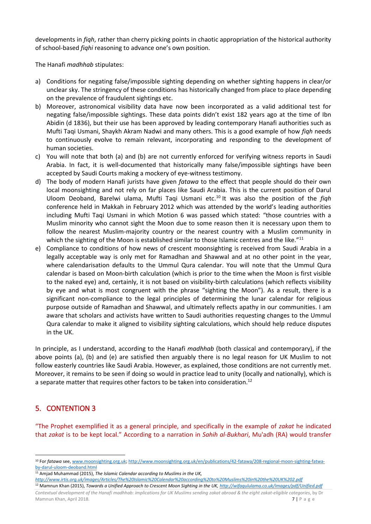developments in *fiqh*, rather than cherry picking points in chaotic appropriation of the historical authority of school-based *fiqhi* reasoning to advance one's own position.

The Hanafi *madhhab* stipulates:

- a) Conditions for negating false/impossible sighting depending on whether sighting happens in clear/or unclear sky. The stringency of these conditions has historically changed from place to place depending on the prevalence of fraudulent sightings etc.
- b) Moreover, astronomical visibility data have now been incorporated as a valid additional test for negating false/impossible sightings. These data points didn't exist 182 years ago at the time of Ibn Abidin (d 1836), but their use has been approved by leading contemporary Hanafi authorities such as Mufti Taqi Usmani, Shaykh Akram Nadwi and many others. This is a good example of how *fiqh* needs to continuously evolve to remain relevant, incorporating and responding to the development of human societies.
- c) You will note that both (a) and (b) are not currently enforced for verifying witness reports in Saudi Arabia. In fact, it is well-documented that historically many false/impossible sightings have been accepted by Saudi Courts making a mockery of eye-witness testimony.
- d) The body of modern Hanafi jurists have given *fatawa* to the effect that people should do their own local moonsighting and not rely on far places like Saudi Arabia. This is the current position of Darul Uloom Deoband, Barelwi ulama, Mufti Taqi Usmani etc.<sup>10</sup> It was also the position of the *fiqh* conference held in Makkah in February 2012 which was attended by the world's leading authorities including Mufti Taqi Usmani in which Motion 6 was passed which stated: "those countries with a Muslim minority who cannot sight the Moon due to some reason then it is necessary upon them to follow the nearest Muslim-majority country or the nearest country with a Muslim community in which the sighting of the Moon is established similar to those Islamic centres and the like."<sup>11</sup>
- e) Compliance to conditions of how news of crescent moonsighting is received from Saudi Arabia in a legally acceptable way is only met for Ramadhan and Shawwal and at no other point in the year, where calendarisation defaults to the Ummul Qura calendar. You will note that the Ummul Qura calendar is based on Moon-birth calculation (which is prior to the time when the Moon is first visible to the naked eye) and, certainly, it is not based on visibility-birth calculations (which reflects visibility by eye and what is most congruent with the phrase "sighting the Moon"). As a result, there is a significant non-compliance to the legal principles of determining the lunar calendar for religious purpose outside of Ramadhan and Shawwal, and ultimately reflects apathy in our communities. I am aware that scholars and activists have written to Saudi authorities requesting changes to the Ummul Qura calendar to make it aligned to visibility sighting calculations, which should help reduce disputes in the UK.

In principle, as I understand, according to the Hanafi *madhhab* (both classical and contemporary), if the above points (a), (b) and (e) are satisfied then arguably there is no legal reason for UK Muslim to not follow easterly countries like Saudi Arabia. However, as explained, those conditions are not currently met. Moreover, it remains to be seen if doing so would in practice lead to unity (locally and nationally), which is a separate matter that requires other factors to be taken into consideration.<sup>12</sup>

# <span id="page-6-0"></span>5. CONTENTION 3

"The Prophet exemplified it as a general principle, and specifically in the example of *zakat* he indicated that *zakat* is to be kept local." According to a narration in *Sahih al-Bukhari*, Mu'adh (RA) would transfer

*<http://www.irtis.org.uk/images/Articles/The%20Islamic%20Calendar%20according%20to%20Muslims%20in%20the%20UK%202.pdf>*

*Contextual development of the Hanafi madhhab: implications for UK Muslims sending zakat abroad & the eight zakat-eligible categories*, by Dr Mamnun Khan, April 2018. **7** | P a g e <sup>12</sup> Mamnun Khan (2015), *Towards a Unified Approach to Crescent Moon Sighting in the UK[, http://wifaqululama.co.uk/images/pdf/Unified.pdf](http://wifaqululama.co.uk/images/pdf/Unified.pdf)*

**<sup>.</sup>** <sup>10</sup> For *fatawa* see, [www.moonsighting.org.uk;](http://www.moonsighting.org.uk/) [http://www.moonsighting.org.uk/en/publications/42-fatawa/208-regional-moon-sighting-fatwa](http://www.moonsighting.org.uk/en/publications/42-fatawa/208-regional-moon-sighting-fatwa-by-darul-uloom-deoband.html)[by-darul-uloom-deoband.html](http://www.moonsighting.org.uk/en/publications/42-fatawa/208-regional-moon-sighting-fatwa-by-darul-uloom-deoband.html)

<sup>&</sup>lt;sup>11</sup> Amjad Muhammad (2015), *The Islamic Calendar according to Muslims in the UK*,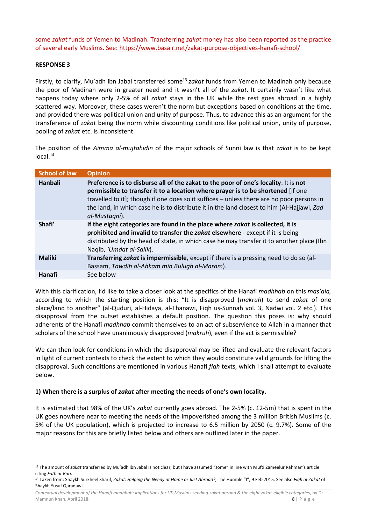some *zakat* funds of Yemen to Madinah. Transferring *zakat* money has also been reported as the practice of several early Muslims. See[: https://www.basair.net/zakat-purpose-objectives-hanafi-school/](https://www.basair.net/zakat-purpose-objectives-hanafi-school/)

#### **RESPONSE 3**

Firstly, to clarify, Mu'adh ibn Jabal transferred some<sup>13</sup> *zakat* funds from Yemen to Madinah only because the poor of Madinah were in greater need and it wasn't all of the *zakat*. It certainly wasn't like what happens today where only 2-5% of all *zakat* stays in the UK while the rest goes abroad in a highly scattered way. Moreover, these cases weren't the norm but exceptions based on conditions at the time, and provided there was political union and unity of purpose. Thus, to advance this as an argument for the transference of *zakat* being the norm while discounting conditions like political union, unity of purpose, pooling of *zakat* etc. is inconsistent.

The position of the *Aimma al-mujtahidin* of the major schools of Sunni law is that *zakat* is to be kept  $local<sup>14</sup>$ 

| <b>School of law</b> | <b>Opinion</b>                                                                                                                                                                                                                                                                                                                                                                      |
|----------------------|-------------------------------------------------------------------------------------------------------------------------------------------------------------------------------------------------------------------------------------------------------------------------------------------------------------------------------------------------------------------------------------|
| Hanbali              | Preference is to disburse all of the zakat to the poor of one's locality. It is not<br>permissible to transfer it to a location where prayer is to be shortened [if one<br>travelled to it]; though if one does so it suffices - unless there are no poor persons in<br>the land, in which case he is to distribute it in the land closest to him (Al-Hajjawi, Zad<br>al-Mustagni). |
| Shafi'               | If the eight categories are found in the place where zakat is collected, it is<br>prohibited and invalid to transfer the zakat elsewhere - except if it is being<br>distributed by the head of state, in which case he may transfer it to another place (Ibn<br>Naqib, 'Umdat al-Salik).                                                                                            |
| <b>Maliki</b>        | Transferring zakat is impermissible, except if there is a pressing need to do so (al-<br>Bassam, Tawdih al-Ahkam min Bulugh al-Maram).                                                                                                                                                                                                                                              |
| Hanafi               | See below                                                                                                                                                                                                                                                                                                                                                                           |

With this clarification, I'd like to take a closer look at the specifics of the Hanafi *madhhab* on this *mas'ala,*  according to which the starting position is this: "It is disapproved (*makruh*) to send *zakat* of one place/land to another" (al-Quduri, al-Hidaya, al-Thanawi, Fiqh us-Sunnah vol. 3, Nadwi vol. 2 etc.). This disapproval from the outset establishes a default position. The question this poses is: why should adherents of the Hanafi *madhhab* commit themselves to an act of subservience to Allah in a manner that scholars of the school have unanimously disapproved (*makruh*), even if the act is permissible?

We can then look for conditions in which the disapproval may be lifted and evaluate the relevant factors in light of current contexts to check the extent to which they would constitute valid grounds for lifting the disapproval. Such conditions are mentioned in various Hanafi *fiqh* texts, which I shall attempt to evaluate below.

#### **1) When there is a surplus of** *zakat* **after meeting the needs of one's own locality.**

It is estimated that 98% of the UK's *zakat* currently goes abroad. The 2-5% (c. £2-5m) that is spent in the UK goes nowhere near to meeting the needs of the impoverished among the 3 million British Muslims (c. 5% of the UK population), which is projected to increase to 6.5 million by 2050 (c. 9.7%). Some of the major reasons for this are briefly listed below and others are outlined later in the paper.

**<sup>.</sup>** <sup>13</sup> The amount of *zakat* transferred by Mu'adh ibn Jabal is not clear, but I have assumed "some" in line with Mufti Zameelur Rahman's article citing *Fath al-Bari*.

<sup>14</sup> Taken from: Shaykh Surkheel Sharif, *Zakat: Helping the Needy at Home or Just Abroad?,* The Humble "I", 9 Feb 2015. See also *Fiqh al-Zakat* of Shaykh Yusuf Qaradawi.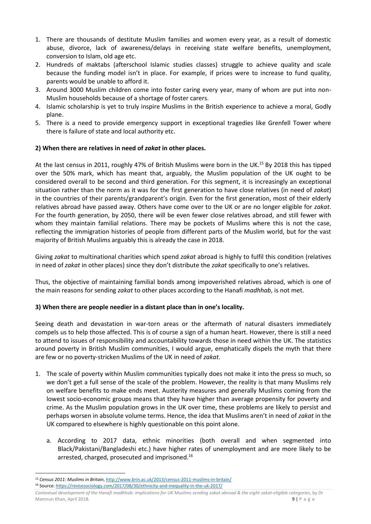- 1. There are thousands of destitute Muslim families and women every year, as a result of domestic abuse, divorce, lack of awareness/delays in receiving state welfare benefits, unemployment, conversion to Islam, old age etc.
- 2. Hundreds of maktabs (afterschool Islamic studies classes) struggle to achieve quality and scale because the funding model isn't in place. For example, if prices were to increase to fund quality, parents would be unable to afford it.
- 3. Around 3000 Muslim children come into foster caring every year, many of whom are put into non-Muslim households because of a shortage of foster carers.
- 4. Islamic scholarship is yet to truly inspire Muslims in the British experience to achieve a moral, Godly plane.
- 5. There is a need to provide emergency support in exceptional tragedies like Grenfell Tower where there is failure of state and local authority etc.

#### **2) When there are relatives in need of** *zakat* **in other places.**

At the last census in 2011, roughly 47% of British Muslims were born in the UK.<sup>15</sup> By 2018 this has tipped over the 50% mark, which has meant that, arguably, the Muslim population of the UK ought to be considered overall to be second and third generation. For this segment, it is increasingly an exceptional situation rather than the norm as it was for the first generation to have close relatives (in need of *zakat*) in the countries of their parents/grandparent's origin. Even for the first generation, most of their elderly relatives abroad have passed away. Others have come over to the UK or are no longer eligible for *zakat*. For the fourth generation, by 2050, there will be even fewer close relatives abroad, and still fewer with whom they maintain familial relations. There may be pockets of Muslims where this is not the case, reflecting the immigration histories of people from different parts of the Muslim world, but for the vast majority of British Muslims arguably this is already the case in 2018.

Giving *zakat* to multinational charities which spend *zakat* abroad is highly to fulfil this condition (relatives in need of *zakat* in other places) since they don't distribute the *zakat* specifically to one's relatives.

Thus, the objective of maintaining familial bonds among impoverished relatives abroad, which is one of the main reasons for sending *zakat* to other places according to the Hanafi *madhhab*, is not met.

#### **3) When there are people needier in a distant place than in one's locality.**

Seeing death and devastation in war-torn areas or the aftermath of natural disasters immediately compels us to help those affected. This is of course a sign of a human heart. However, there is still a need to attend to issues of responsibility and accountability towards those in need within the UK. The statistics around poverty in British Muslim communities, I would argue, emphatically dispels the myth that there are few or no poverty-stricken Muslims of the UK in need of *zakat*.

- 1. The scale of poverty within Muslim communities typically does not make it into the press so much, so we don't get a full sense of the scale of the problem. However, the reality is that many Muslims rely on welfare benefits to make ends meet. Austerity measures and generally Muslims coming from the lowest socio-economic groups means that they have higher than average propensity for poverty and crime. As the Muslim population grows in the UK over time, these problems are likely to persist and perhaps worsen in absolute volume terms. Hence, the idea that Muslims aren't in need of *zakat* in the UK compared to elsewhere is highly questionable on this point alone.
	- a. According to 2017 data, ethnic minorities (both overall and when segmented into Black/Pakistani/Bangladeshi etc.) have higher rates of unemployment and are more likely to be arrested, charged, prosecuted and imprisoned.<sup>16</sup>

<sup>1</sup> <sup>15</sup> *Census 2011: Muslims in Britain*[, http://www.brin.ac.uk/2013/census-2011-muslims-in-britain/](http://www.brin.ac.uk/2013/census-2011-muslims-in-britain/) <sup>16</sup> Source:<https://revisesociology.com/2017/08/30/ethnicity-and-inequality-in-the-uk-2017/>

*Contextual development of the Hanafi madhhab: implications for UK Muslims sending zakat abroad & the eight zakat-eligible categories*, by Dr Mamnun Khan, April 2018. **9** | P a g e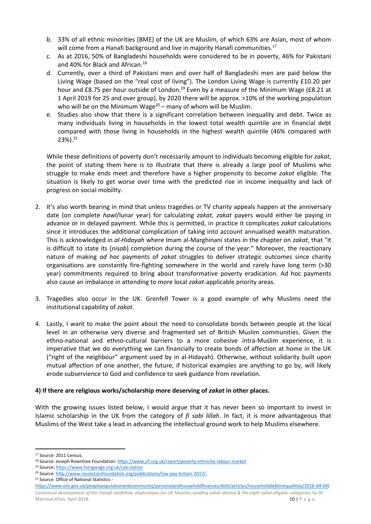- b. 33% of all ethnic minorities (BME) of the UK are Muslim, of which 63% are Asian, most of whom will come from a Hanafi background and live in majority Hanafi communities.<sup>17</sup>
- c. As at 2016, 50% of Bangladeshi households were considered to be in poverty, 46% for Pakistani and 40% for Black and African.<sup>18</sup>
- d. Currently, over a third of Pakistani men and over half of Bangladeshi men are paid below the Living Wage (based on the "real cost of living"). The London Living Wage is currently £10.20 per hour and £8.75 per hour outside of London.<sup>19</sup> Even by a measure of the Minimum Wage (£8.21 at 1 April 2019 for 25 and over group), by 2020 there will be approx. >10% of the working population who will be on the Minimum Wage $20 -$  many of whom will be Muslim.
- e. Studies also show that there is a significant correlation between inequality and debt. Twice as many individuals living in households in the lowest total wealth quintile are in financial debt compared with those living in households in the highest wealth quintile (46% compared with  $23\%$ ).<sup>21</sup>

While these definitions of poverty don't necessarily amount to individuals becoming eligible for *zakat*, the point of stating them here is to illustrate that there is already a large pool of Muslims who struggle to make ends meet and therefore have a higher propensity to become *zakat* eligible. The situation is likely to get worse over time with the predicted rise in income inequality and lack of progress on social mobility.

- 2. It's also worth bearing in mind that unless tragedies or TV charity appeals happen at the anniversary date (on complete *hawl*/lunar year) for calculating *zakat*, *zakat* payers would either be paying in advance or in delayed payment. While this is permitted, in practice it complicates *zakat* calculations since it introduces the additional complication of taking into account annualised wealth maturation. This is acknowledged in *al-Hidayah* where Imam al-Marghinani states in the chapter on *zakat*, that "it is difficult to state its [*nisab*] completion during the course of the year." Moreover, the reactionary nature of making *ad hoc* payments of *zakat* struggles to deliver strategic outcomes since charity organisations are constantly fire-fighting somewhere in the world and rarely have long term (>30 year) commitments required to bring about transformative poverty eradication. Ad hoc payments also cause an imbalance in attending to more local *zakat*-applicable priority areas.
- 3. Tragedies also occur in the UK. Grenfell Tower is a good example of why Muslims need the institutional capability of *zakat*.
- 4. Lastly, I want to make the point about the need to consolidate bonds between people at the local level in an otherwise very diverse and fragmented set of British Muslim communities. Given the ethno-national and ethno-cultural barriers to a more cohesive intra-Muslim experience, it is imperative that we do everything we can financially to create bonds of affection at home in the UK ("right of the neighbour" argument used by in al-Hidayah). Otherwise, without solidarity built upon mutual affection of one another, the future, if historical examples are anything to go by, will likely erode subservience to God and confidence to seek guidance from revelation.

#### **4) If there are religious works/scholarship more deserving of** *zakat* **in other places.**

With the growing issues listed below, I would argue that it has never been so important to invest in Islamic scholarship in the UK from the category of *fi sabi lillah*. In fact, it is more advantageous that Muslims of the West take a lead in advancing the intellectual ground work to help Muslims elsewhere.

1

<sup>21</sup> Source: Office of National Statistics -

*Contextual development of the Hanafi madhhab: implications for UK Muslims sending zakat abroad & the eight zakat-eligible categories*, by Dr Mamnun Khan, April 2018. 10 | P a g e

<sup>17</sup> Source: 2011 Census.

<sup>18</sup> Source: Joseph Rowntree Foundation:<https://www.jrf.org.uk/report/poverty-ethnicity-labour-market>

<sup>19</sup> Source:<https://www.livingwage.org.uk/calculation>

<sup>&</sup>lt;sup>20</sup> Source: [http://www.resolutionfoundation.org/publications/low-pay-britain-2017/.](http://www.resolutionfoundation.org/publications/low-pay-britain-2017/)

[https://www.ons.gov.uk/peoplepopulationandcommunity/personalandhouseholdfinances/debt/articles/householddebtinequalities/2016-04-04\)](https://www.ons.gov.uk/peoplepopulationandcommunity/personalandhouseholdfinances/debt/articles/householddebtinequalities/2016-04-04).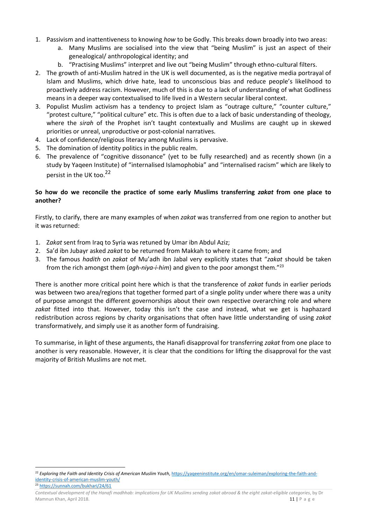- 1. Passivism and inattentiveness to knowing *how* to be Godly. This breaks down broadly into two areas:
	- a. Many Muslims are socialised into the view that "being Muslim" is just an aspect of their genealogical/ anthropological identity; and
	- b. "Practising Muslims" interpret and live out "being Muslim" through ethno-cultural filters.
- 2. The growth of anti-Muslim hatred in the UK is well documented, as is the negative media portrayal of Islam and Muslims, which drive hate, lead to unconscious bias and reduce people's likelihood to proactively address racism. However, much of this is due to a lack of understanding of what Godliness means in a deeper way contextualised to life lived in a Western secular liberal context.
- 3. Populist Muslim activism has a tendency to project Islam as "outrage culture," "counter culture," "protest culture," "political culture" etc. This is often due to a lack of basic understanding of theology, where the *sirah* of the Prophet isn't taught contextually and Muslims are caught up in skewed priorities or unreal, unproductive or post-colonial narratives.
- 4. Lack of confidence/religious literacy among Muslims is pervasive.
- 5. The domination of identity politics in the public realm.
- 6. The prevalence of "cognitive dissonance" (yet to be fully researched) and as recently shown (in a study by Yaqeen Institute) of "internalised Islamophobia" and "internalised racism" which are likely to persist in the UK too.<sup>22</sup>

#### **So how do we reconcile the practice of some early Muslims transferring** *zakat* **from one place to another?**

Firstly, to clarify, there are many examples of when *zakat* was transferred from one region to another but it was returned:

- 1. Z*akat* sent from Iraq to Syria was retuned by Umar ibn Abdul Aziz;
- 2. Sa'd ibn Jubayr asked *zakat* to be returned from Makkah to where it came from; and
- 3. The famous *hadith* on *zakat* of Mu'adh ibn Jabal very explicitly states that "*zakat* should be taken from the rich amongst them (*agh-niya-i-him*) and given to the poor amongst them."<sup>23</sup>

There is another more critical point here which is that the transference of *zakat* funds in earlier periods was between two area/regions that together formed part of a single polity under where there was a unity of purpose amongst the different governorships about their own respective overarching role and where *zakat* fitted into that. However, today this isn't the case and instead, what we get is haphazard redistribution across regions by charity organisations that often have little understanding of using *zakat* transformatively, and simply use it as another form of fundraising.

To summarise, in light of these arguments, the Hanafi disapproval for transferring *zakat* from one place to another is very reasonable. However, it is clear that the conditions for lifting the disapproval for the vast majority of British Muslims are not met.

<sup>23</sup> <https://sunnah.com/bukhari/24/61>

<sup>1</sup> <sup>22</sup> *Exploring the Faith and Identity Crisis of American Muslim Youth*[, https://yaqeeninstitute.org/en/omar-suleiman/exploring-the-faith-and](https://yaqeeninstitute.org/en/omar-suleiman/exploring-the-faith-and-identity-crisis-of-american-muslim-youth/)[identity-crisis-of-american-muslim-youth/](https://yaqeeninstitute.org/en/omar-suleiman/exploring-the-faith-and-identity-crisis-of-american-muslim-youth/)

*Contextual development of the Hanafi madhhab: implications for UK Muslims sending zakat abroad & the eight zakat-eligible categories*, by Dr Mamnun Khan, April 2018. 11 | P a g e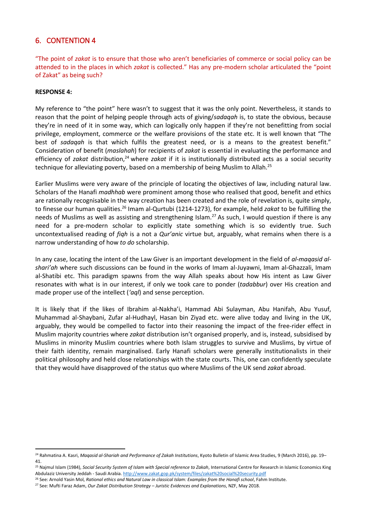### <span id="page-11-0"></span>6. CONTENTION 4

"The point of *zakat* is to ensure that those who aren't beneficiaries of commerce or social policy can be attended to in the places in which *zakat* is collected." Has any pre-modern scholar articulated the "point of Zakat" as being such?

#### **RESPONSE 4:**

My reference to "the point" here wasn't to suggest that it was the only point. Nevertheless, it stands to reason that the point of helping people through acts of giving/*sadaqah* is, to state the obvious, because they're in need of it in some way, which can logically only happen if they're not benefitting from social privilege, employment, commerce or the welfare provisions of the state etc. It is well known that "The best of *sadaqah* is that which fulfils the greatest need, or is a means to the greatest benefit." Consideration of benefit (*maslahah*) for recipients of *zakat* is essential in evaluating the performance and efficiency of *zakat* distribution,<sup>24</sup> where *zakat* if it is institutionally distributed acts as a social security technique for alleviating poverty, based on a membership of being Muslim to Allah.<sup>25</sup>

Earlier Muslims were very aware of the principle of locating the objectives of law, including natural law. Scholars of the Hanafi *madhhab* were prominent among those who realised that good, benefit and ethics are rationally recognisable in the way creation has been created and the role of revelation is, quite simply, to finesse our human qualities.<sup>26</sup> Imam al-Qurtubi (1214-1273), for example, held *zakat* to be fulfilling the needs of Muslims as well as assisting and strengthening Islam.<sup>27</sup> As such, I would question if there is any need for a pre-modern scholar to explicitly state something which is so evidently true. Such uncontextualised reading of *fiqh* is a not a *Qur'anic* virtue but, arguably, what remains when there is a narrow understanding of how *to do* scholarship.

In any case, locating the intent of the Law Giver is an important development in the field of *al-maqasid alshari'ah* where such discussions can be found in the works of Imam al-Juyawni, Imam al-Ghazzali, Imam al-Shatibi etc. This paradigm spawns from the way Allah speaks about how His intent as Law Giver resonates with what is in our interest, if only we took care to ponder (*tadabbur*) over His creation and made proper use of the intellect (*'aql*) and sense perception.

It is likely that if the likes of Ibrahim al-Nakha'i, Hammad Abi Sulayman, Abu Hanifah, Abu Yusuf, Muhammad al-Shaybani, Zufar al-Hudhayl, Hasan bin Ziyad etc. were alive today and living in the UK, arguably, they would be compelled to factor into their reasoning the impact of the free-rider effect in Muslim majority countries where *zakat* distribution isn't organised properly, and is, instead, subsidised by Muslims in minority Muslim countries where both Islam struggles to survive and Muslims, by virtue of their faith identity, remain marginalised. Early Hanafi scholars were generally institutionalists in their political philosophy and held close relationships with the state courts. This, one can confidently speculate that they would have disapproved of the status quo where Muslims of the UK send *zakat* abroad.

<sup>1</sup> <sup>24</sup> Rahmatina A. Kasri, *Maqasid al-Shariah and Performance of Zakah Institutions*, Kyoto Bulletin of Islamic Area Studies, 9 (March 2016), pp. 19– 41.

<sup>25</sup> Najmul Islam (1984), *Social Security System of Islam with Special reference to Zakah*, International Centre for Research in Islamic Economics King Abdulaziz University Jeddah - Saudi Arabia.<http://www.zakat.gop.pk/system/files/zakat%20social%20security.pdf>

<sup>26</sup> See: Arnold Yasin Mol, *Rational ethics and Natural Law in classical Islam: Examples from the Hanafi school*, Fahm Institute.

<sup>27</sup> See: Mufti Faraz Adam, *Our Zakat Distribution Strategy – Juristic Evidences and Explanations*, NZF, May 2018.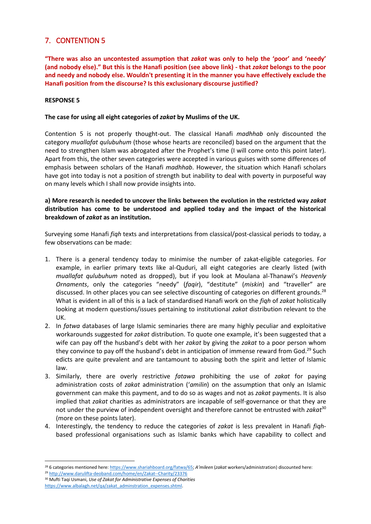### <span id="page-12-0"></span>7. CONTENTION 5

**"There was also an uncontested assumption that** *zakat* **was only to help the 'poor' and 'needy' (and nobody else)." But this is the Hanafi position (see above link) - that** *zakat* **belongs to the poor and needy and nobody else. Wouldn't presenting it in the manner you have effectively exclude the Hanafi position from the discourse? Is this exclusionary discourse justified?**

#### **RESPONSE 5**

#### **The case for using all eight categories of** *zakat* **by Muslims of the UK.**

Contention 5 is not properly thought-out. The classical Hanafi *madhhab* only discounted the category *muallafat qulubuhum* (those whose hearts are reconciled) based on the argument that the need to strengthen Islam was abrogated after the Prophet's time (I will come onto this point later). Apart from this, the other seven categories were accepted in various guises with some differences of emphasis between scholars of the Hanafi *madhhab*. However, the situation which Hanafi scholars have got into today is not a position of strength but inability to deal with poverty in purposeful way on many levels which I shall now provide insights into.

**a) More research is needed to uncover the links between the evolution in the restricted way** *zakat* **distribution has come to be understood and applied today and the impact of the historical breakdown of** *zakat* **as an institution.**

Surveying some Hanafi *fiqh* texts and interpretations from classical/post-classical periods to today, a few observations can be made:

- 1. There is a general tendency today to minimise the number of zakat-eligible categories. For example, in earlier primary texts like al-Quduri, all eight categories are clearly listed (with *muallafat qulubuhum* noted as dropped), but if you look at Moulana al-Thanawi's *Heavenly Ornaments*, only the categories "needy" (*faqir*), "destitute" (*miskin*) and "traveller" are discussed. In other places you can see selective discounting of categories on different grounds.<sup>28</sup> What is evident in all of this is a lack of standardised Hanafi work on the *fiqh* of *zakat* holistically looking at modern questions/issues pertaining to institutional *zakat* distribution relevant to the UK.
- 2. In *fatwa* databases of large Islamic seminaries there are many highly peculiar and exploitative workarounds suggested for *zakat* distribution. To quote one example, it's been suggested that a wife can pay off the husband's debt with her *zakat* by giving the *zakat* to a poor person whom they convince to pay off the husband's debt in anticipation of immense reward from God.<sup>29</sup> Such edicts are quite prevalent and are tantamount to abusing both the spirit and letter of Islamic law.
- 3. Similarly, there are overly restrictive *fatawa* prohibiting the use of *zakat* for paying administration costs of *zakat* administration ('*amilin*) on the assumption that only an Islamic government can make this payment, and to do so as wages and not as *zakat* payments. It is also implied that *zakat* charities as administrators are incapable of self-governance or that they are not under the purview of independent oversight and therefore cannot be entrusted with *zakat*<sup>30</sup> (more on these points later).
- 4. Interestingly, the tendency to reduce the categories of *zakat* is less prevalent in Hanafi *fiqh*based professional organisations such as Islamic banks which have capability to collect and

**<sup>.</sup>** <sup>28</sup> 6 categories mentioned here[: https://www.shariahboard.org/fatwa/65;](https://www.shariahboard.org/fatwa/65) *A'mileen* (*zakat* workers/administration) discounted here:

<sup>29</sup> <http://www.darulifta-deoband.com/home/en/Zakat--Charity/23376>

<sup>30</sup> Mufti Taqi Usmani, *Use of Zakat for Administrative Expenses of Charities* [https://www.albalagh.net/qa/zakat\\_adminstration\\_expenses.shtml.](https://www.albalagh.net/qa/zakat_adminstration_expenses.shtml)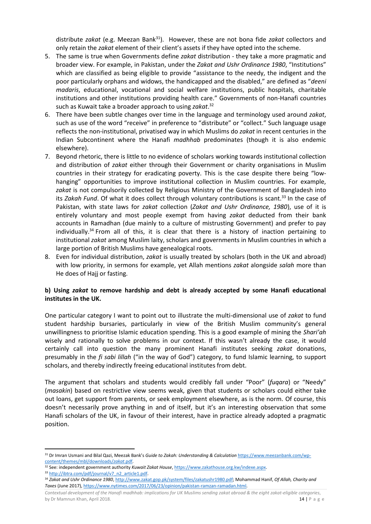distribute *zakat* (e.g. Meezan Bank<sup>31</sup>). However, these are not bona fide *zakat* collectors and only retain the *zakat* element of their client's assets if they have opted into the scheme.

- 5. The same is true when Governments define *zakat* distribution they take a more pragmatic and broader view. For example, in Pakistan, under the *Zakat and Ushr Ordinance 1980*, "Institutions" which are classified as being eligible to provide "assistance to the needy, the indigent and the poor particularly orphans and widows, the handicapped and the disabled," are defined as "*deeni madaris*, educational, vocational and social welfare institutions, public hospitals, charitable institutions and other institutions providing health care." Governments of non-Hanafi countries such as Kuwait take a broader approach to using *zakat*. 32
- 6. There have been subtle changes over time in the language and terminology used around *zakat*, such as use of the word "receive" in preference to "distribute" or "collect." Such language usage reflects the non-institutional, privatised way in which Muslims do *zakat* in recent centuries in the Indian Subcontinent where the Hanafi *madhhab* predominates (though it is also endemic elsewhere).
- 7. Beyond rhetoric, there is little to no evidence of scholars working towards institutional collection and distribution of *zakat* either through their Government or charity organisations in Muslim countries in their strategy for eradicating poverty. This is the case despite there being "lowhanging" opportunities to improve institutional collection in Muslim countries. For example, *zakat* is not compulsorily collected by Religious Ministry of the Government of Bangladesh into its *Zakah Fund*. Of what it does collect through voluntary contributions is scant.<sup>33</sup> In the case of Pakistan, with state laws for *zakat* collection (*Zakat and Ushr Ordinance, 1980*), use of it is entirely voluntary and most people exempt from having *zakat* deducted from their bank accounts in Ramadhan (due mainly to a culture of mistrusting Government) and prefer to pay individually.<sup>34</sup> From all of this, it is clear that there is a history of inaction pertaining to institutional *zakat* among Muslim laity, scholars and governments in Muslim countries in which a large portion of British Muslims have genealogical roots.
- 8. Even for individual distribution, *zakat* is usually treated by scholars (both in the UK and abroad) with low priority, in sermons for example, yet Allah mentions *zakat* alongside *salah* more than He does of Hajj or fasting.

#### **b) Using** *zakat* **to remove hardship and debt is already accepted by some Hanafi educational institutes in the UK.**

One particular category I want to point out to illustrate the multi-dimensional use of *zakat* to fund student hardship bursaries, particularly in view of the British Muslim community's general unwillingness to prioritise Islamic education spending. This is a good example of mining the *Shari'ah* wisely and rationally to solve problems in our context. If this wasn't already the case, it would certainly call into question the many prominent Hanafi institutes seeking *zakat* donations, presumably in the *fi sabi lillah* ("in the way of God") category, to fund Islamic learning, to support scholars, and thereby indirectly freeing educational institutes from debt.

The argument that scholars and students would credibly fall under "Poor" (*fuqara*) or "Needy" (*masakin*) based on restrictive view seems weak, given that students or scholars could either take out loans, get support from parents, or seek employment elsewhere, as is the norm. Of course, this doesn't necessarily prove anything in and of itself, but it's an interesting observation that some Hanafi scholars of the UK, in favour of their interest, have in practice already adopted a pragmatic position.

33 [http://ibtra.com/pdf/journal/v7\\_n2\\_article1.pdf.](http://ibtra.com/pdf/journal/v7_n2_article1.pdf)

<sup>1</sup> <sup>31</sup> Dr Imran Usmani and Bilal Qazi, Meezak Bank's *Guide to Zakah: Understanding & Calculation* [https://www.meezanbank.com/wp](https://www.meezanbank.com/wp-content/themes/mbl/downloads/zakah.pdf)[content/themes/mbl/downloads/](https://www.meezanbank.com/wp-content/themes/mbl/downloads/zakah.pdf)*zakat*.pdf.

<sup>32</sup> See: independent government authority *Kuwait Zakat House*[, https://www.zakathouse.org.kw/indexe.aspx.](https://www.zakathouse.org.kw/indexe.aspx)

<sup>34</sup> *Zakat and Ushr Ordinance 1980*[, http://www.zakat.gop.pk/system/files/zakatushr1980.pdf;](http://www.zakat.gop.pk/system/files/zakatushr1980.pdf) Mohammad Hanif, *Of Allah, Charity and Taxes* (June 2017)[, https://www.nytimes.com/2017/06/23/opinion/pakistan-ramzan-ramadan.html.](https://www.nytimes.com/2017/06/23/opinion/pakistan-ramzan-ramadan.html)

*Contextual development of the Hanafi madhhab: implications for UK Muslims sending zakat abroad & the eight zakat-eligible categories*, by Dr Mamnun Khan, April 2018. 14 | P a g e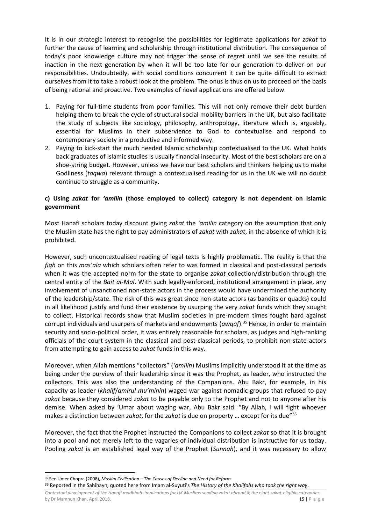It is in our strategic interest to recognise the possibilities for legitimate applications for *zakat* to further the cause of learning and scholarship through institutional distribution. The consequence of today's poor knowledge culture may not trigger the sense of regret until we see the results of inaction in the next generation by when it will be too late for our generation to deliver on our responsibilities. Undoubtedly, with social conditions concurrent it can be quite difficult to extract ourselves from it to take a robust look at the problem. The onus is thus on us to proceed on the basis of being rational and proactive. Two examples of novel applications are offered below.

- 1. Paying for full-time students from poor families. This will not only remove their debt burden helping them to break the cycle of structural social mobility barriers in the UK, but also facilitate the study of subjects like sociology, philosophy, anthropology, literature which is, arguably, essential for Muslims in their subservience to God to contextualise and respond to contemporary society in a productive and informed way.
- 2. Paying to kick-start the much needed Islamic scholarship contextualised to the UK. What holds back graduates of Islamic studies is usually financial insecurity. Most of the best scholars are on a shoe-string budget. However, unless we have our best scholars and thinkers helping us to make Godliness (*taqwa*) relevant through a contextualised reading for us in the UK we will no doubt continue to struggle as a community.

#### **c) Using** *zakat* **for** *'amilin* **(those employed to collect) category is not dependent on Islamic government**

Most Hanafi scholars today discount giving *zakat* the *'amilin* category on the assumption that only the Muslim state has the right to pay administrators of *zakat* with *zakat*, in the absence of which it is prohibited.

However, such uncontextualised reading of legal texts is highly problematic. The reality is that the *fiqh* on this *mas'ala* which scholars often refer to was formed in classical and post-classical periods when it was the accepted norm for the state to organise *zakat* collection/distribution through the central entity of the *Bait al-Mal*. With such legally-enforced, institutional arrangement in place, any involvement of unsanctioned non-state actors in the process would have undermined the authority of the leadership/state. The risk of this was great since non-state actors (as bandits or quacks) could in all likelihood justify and fund their existence by usurping the very *zakat* funds which they sought to collect. Historical records show that Muslim societies in pre-modern times fought hard against corrupt individuals and usurpers of markets and endowments (*awqaf*).<sup>35</sup> Hence, in order to maintain security and socio-political order, it was entirely reasonable for scholars, as judges and high-ranking officials of the court system in the classical and post-classical periods, to prohibit non-state actors from attempting to gain access to *zakat* funds in this way.

Moreover, when Allah mentions "collectors" (*'amilin*) Muslims implicitly understood it at the time as being under the purview of their leadership since it was the Prophet, as leader, who instructed the collectors. This was also the understanding of the Companions. Abu Bakr, for example, in his capacity as leader (*khalif*/*amirul mu'minin*) waged war against nomadic groups that refused to pay *zakat* because they considered *zakat* to be payable only to the Prophet and not to anyone after his demise. When asked by 'Umar about waging war, Abu Bakr said: "By Allah, I will fight whoever makes a distinction between *zakat*, for the *zakat* is due on property … except for its due"<sup>36</sup>

Moreover, the fact that the Prophet instructed the Companions to collect *zakat* so that it is brought into a pool and not merely left to the vagaries of individual distribution is instructive for us today. Pooling *zakat* is an established legal way of the Prophet (*Sunnah*), and it was necessary to allow

**.** 

*Contextual development of the Hanafi madhhab: implications for UK Muslims sending zakat abroad & the eight zakat-eligible categories*, by Dr Mamnun Khan, April 2018. 15 | P a g e <sup>36</sup> Reported in the Sahihayn, quoted here from Imam al-Suyuti's *The History of the Khalifahs who took the right way*.

<sup>35</sup> See Umer Chopra (2008), *Muslim Civilisation – The Causes of Decline and Need for Reform*.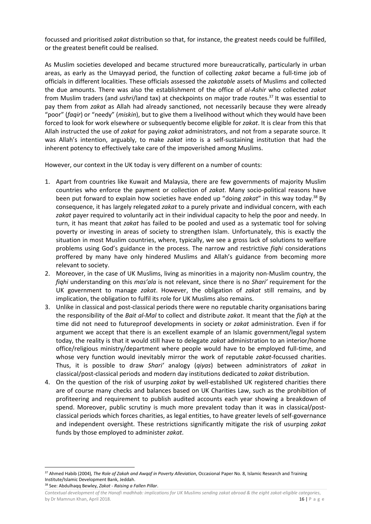focussed and prioritised *zakat* distribution so that, for instance, the greatest needs could be fulfilled, or the greatest benefit could be realised.

As Muslim societies developed and became structured more bureaucratically, particularly in urban areas, as early as the Umayyad period, the function of collecting *zakat* became a full-time job of officials in different localities. These officials assessed the *zakatable* assets of Muslims and collected the due amounts. There was also the establishment of the office of *al-Ashir* who collected *zakat* from Muslim traders (and *ushri*/land tax) at checkpoints on major trade routes.<sup>37</sup> It was essential to pay them from *zakat* as Allah had already sanctioned, not necessarily because they were already "poor" (*faqir*) or "needy" (*miskin*), but to give them a livelihood without which they would have been forced to look for work elsewhere or subsequently become eligible for *zakat*. It is clear from this that Allah instructed the use of *zakat* for paying *zakat* administrators, and not from a separate source. It was Allah's intention, arguably, to make *zakat* into is a self-sustaining institution that had the inherent potency to effectively take care of the impoverished among Muslims.

However, our context in the UK today is very different on a number of counts:

- 1. Apart from countries like Kuwait and Malaysia, there are few governments of majority Muslim countries who enforce the payment or collection of *zakat*. Many socio-political reasons have been put forward to explain how societies have ended up "doing *zakat*" in this way today. <sup>38</sup> By consequence, it has largely relegated *zakat* to a purely private and individual concern, with each *zakat* payer required to voluntarily act in their individual capacity to help the poor and needy. In turn, it has meant that *zakat* has failed to be pooled and used as a systematic tool for solving poverty or investing in areas of society to strengthen Islam. Unfortunately, this is exactly the situation in most Muslim countries, where, typically, we see a gross lack of solutions to welfare problems using God's guidance in the process. The narrow and restrictive *fiqhi* considerations proffered by many have only hindered Muslims and Allah's guidance from becoming more relevant to society.
- 2. Moreover, in the case of UK Muslims, living as minorities in a majority non-Muslim country, the *fiqhi* understanding on this *mas'ala* is not relevant, since there is no *Shari'* requirement for the UK government to manage *zakat*. However, the obligation of *zakat* still remains, and by implication, the obligation to fulfil its role for UK Muslims also remains.
- 3. Unlike in classical and post-classical periods there were no reputable charity organisations baring the responsibility of the *Bait al-Mal* to collect and distribute *zakat*. It meant that the *fiqh* at the time did not need to futureproof developments in society or *zakat* administration. Even if for argument we accept that there is an excellent example of an Islamic government/legal system today, the reality is that it would still have to delegate *zakat* administration to an interior/home office/religious ministry/department where people would have to be employed full-time, and whose very function would inevitably mirror the work of reputable *zakat*-focussed charities. Thus, it is possible to draw *Shari'* analogy (*qiyas*) between administrators of *zakat* in classical/post-classical periods and modern day institutions dedicated to *zakat* distribution.
- 4. On the question of the risk of usurping *zakat* by well-established UK registered charities there are of course many checks and balances based on UK Charities Law, such as the prohibition of profiteering and requirement to publish audited accounts each year showing a breakdown of spend. Moreover, public scrutiny is much more prevalent today than it was in classical/postclassical periods which forces charities, as legal entities, to have greater levels of self-governance and independent oversight. These restrictions significantly mitigate the risk of usurping *zakat* funds by those employed to administer *zakat*.

<sup>38</sup> See: Abdulhaqq Bewley, *Zakat - Raising a Fallen Pillar*.

<sup>1</sup> <sup>37</sup> Ahmed Habib (2004), *The Role of Zakah and Awqaf in Poverty Alleviation*, Occasional Paper No. 8, Islamic Research and Training Institute/Islamic Development Bank, Jeddah.

*Contextual development of the Hanafi madhhab: implications for UK Muslims sending zakat abroad & the eight zakat-eligible categories*, by Dr Mamnun Khan, April 2018. 16 | P a g e channel and the United States of the United States of the United States of the United States of the United States of the United States of the United States of the United States o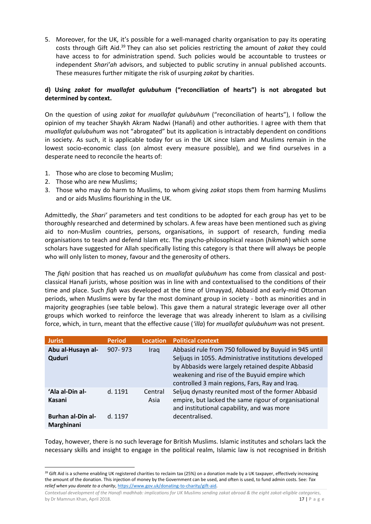5. Moreover, for the UK, it's possible for a well-managed charity organisation to pay its operating costs through Gift Aid.<sup>39</sup> They can also set policies restricting the amount of *zakat* they could have access to for administration spend. Such policies would be accountable to trustees or independent *Shari'ah* advisors, and subjected to public scrutiny in annual published accounts. These measures further mitigate the risk of usurping *zakat* by charities.

#### **d) Using** *zakat* **for** *muallafat qulubuhum* **("reconciliation of hearts") is not abrogated but determined by context.**

On the question of using *zakat* for *muallafat qulubuhum* ("reconciliation of hearts"), I follow the opinion of my teacher Shaykh Akram Nadwi (Hanafi) and other authorities. I agree with them that *muallafat qulubuhum* was not "abrogated" but its application is intractably dependent on conditions in society. As such, it is applicable today for us in the UK since Islam and Muslims remain in the lowest socio-economic class (on almost every measure possible), and we find ourselves in a desperate need to reconcile the hearts of:

- 1. Those who are close to becoming Muslim;
- 2. Those who are new Muslims;
- 3. Those who may do harm to Muslims, to whom giving *zakat* stops them from harming Muslims and or aids Muslims flourishing in the UK.

Admittedly, the *Shari'* parameters and test conditions to be adopted for each group has yet to be thoroughly researched and determined by scholars. A few areas have been mentioned such as giving aid to non-Muslim countries, persons, organisations, in support of research, funding media organisations to teach and defend Islam etc. The psycho-philosophical reason (*hikmah*) which some scholars have suggested for Allah specifically listing this category is that there will always be people who will only listen to money, favour and the generosity of others.

The *fiqhi* position that has reached us on *muallafat qulubuhum* has come from classical and postclassical Hanafi jurists, whose position was in line with and contextualised to the conditions of their time and place. Such *fiqh* was developed at the time of Umayyad, Abbasid and early-mid Ottoman periods, when Muslims were by far the most dominant group in society - both as minorities and in majority geographies (see table below). This gave them a natural strategic leverage over all other groups which worked to reinforce the leverage that was already inherent to Islam as a civilising force, which, in turn, meant that the effective cause (*'illa*) for *muallafat qulubuhum* was not present.

| <b>Jurist</b>                          | <b>Period</b> | Location        | <b>Political context</b>                                                                                                                                                                                                                                                |
|----------------------------------------|---------------|-----------------|-------------------------------------------------------------------------------------------------------------------------------------------------------------------------------------------------------------------------------------------------------------------------|
| Abu al-Husayn al-<br>Quduri            | $907 - 973$   | Iraq            | Abbasid rule from 750 followed by Buyuid in 945 until<br>Seljugs in 1055. Administrative institutions developed<br>by Abbasids were largely retained despite Abbasid<br>weakening and rise of the Buyuid empire which<br>controlled 3 main regions, Fars, Ray and Iraq. |
| 'Ala al-Din al-<br>Kasani              | d. 1191       | Central<br>Asia | Seljuq dynasty reunited most of the former Abbasid<br>empire, but lacked the same rigour of organisational<br>and institutional capability, and was more                                                                                                                |
| <b>Burhan al-Din al-</b><br>Marghinani | d. 1197       |                 | decentralised.                                                                                                                                                                                                                                                          |

Today, however, there is no such leverage for British Muslims. Islamic institutes and scholars lack the necessary skills and insight to engage in the political realm, Islamic law is not recognised in British

*Contextual development of the Hanafi madhhab: implications for UK Muslims sending zakat abroad & the eight zakat-eligible categories*, by Dr Mamnun Khan, April 2018. 17 | P a g e

<sup>1</sup> <sup>39</sup> Gift Aid is a scheme enabling UK registered charities to reclaim tax (25%) on a donation made by a UK taxpayer, effectively increasing the amount of the donation. This injection of money by the Government can be used, and often is used, to fund admin costs. See: *Tax relief when you donate to a charity*[, https://www.gov.uk/donating-to-charity/gift-aid.](https://www.gov.uk/donating-to-charity/gift-aid)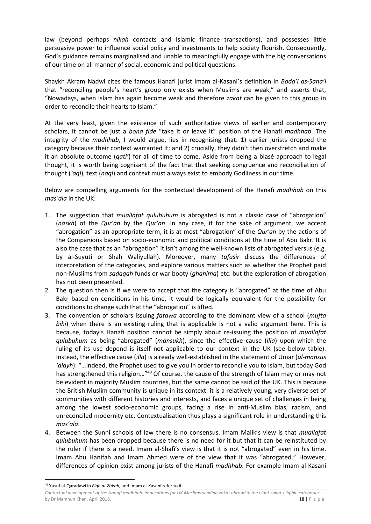law (beyond perhaps *nikah* contacts and Islamic finance transactions), and possesses little persuasive power to influence social policy and investments to help society flourish. Consequently, God's guidance remains marginalised and unable to meaningfully engage with the big conversations of our time on all manner of social, economic and political questions.

Shaykh Akram Nadwi cites the famous Hanafi jurist Imam al-Kasani's definition in *Bada'i as-Sana'i* that "reconciling people's heart's group only exists when Muslims are weak," and asserts that, "Nowadays, when Islam has again become weak and therefore *zakat* can be given to this group in order to reconcile their hearts to Islam."

At the very least, given the existence of such authoritative views of earlier and contemporary scholars, it cannot be just a *bona fide* "take it or leave it" position of the Hanafi *madhhab*. The integrity of the *madhhab*, I would argue, lies in recognising that: 1) earlier jurists dropped the category because their context warranted it; and 2) crucially, they didn't then overstretch and make it an absolute outcome (*qati'*) for all of time to come. Aside from being a blasé approach to legal thought, it is worth being cognisant of the fact that that seeking congruence and reconciliation of thought (*'aql*), text (*naql*) and context must always exist to embody Godliness in our time.

Below are compelling arguments for the contextual development of the Hanafi *madhhab* on this *mas'ala* in the UK:

- 1. The suggestion that *muallafat qulubuhum* is abrogated is not a classic case of "abrogation" (*naskh*) of the *Qur'an* by the *Qur'an*. In any case, if for the sake of argument, we accept "abrogation" as an appropriate term, it is at most "abrogation" of the *Qur'an* by the actions of the Companions based on socio-economic and political conditions at the time of Abu Bakr. It is also the case that as an "abrogation" it isn't among the well-known lists of abrogated versus (e.g. by al-Suyuti or Shah Waliyullah). Moreover, many *tafasir* discuss the differences of interpretation of the categories, and explore various matters such as whether the Prophet paid non-Muslims from *sadaqah* funds or war booty (*ghanima*) etc. but the exploration of abrogation has not been presented.
- 2. The question then is if we were to accept that the category is "abrogated" at the time of Abu Bakr based on conditions in his time, it would be logically equivalent for the possibility for conditions to change such that the "abrogation" is lifted.
- 3. The convention of scholars issuing *fatawa* according to the dominant view of a school (*mufta bihi*) when there is an existing ruling that is applicable is not a valid argument here. This is because, today's Hanafi position cannot be simply about re-issuing the position of *muallafat qulubuhum* as being "abrogated" (*mansukh*), since the effective cause (*illa*) upon which the ruling of its use depend is itself not applicable to our context in the UK (see below table). Instead, the effective cause (*illa*) is already well-established in the statement of Umar (*al-mansus 'alayh*): "…Indeed, the Prophet used to give you in order to reconcile you to Islam, but today God has strengthened this religion..."<sup>40</sup> Of course, the cause of the strength of Islam may or may not be evident in majority Muslim countries, but the same cannot be said of the UK. This is because the British Muslim community is unique in its context: it is a relatively young, very diverse set of communities with different histories and interests, and faces a unique set of challenges in being among the lowest socio-economic groups, facing a rise in anti-Muslim bias, racism, and unreconciled modernity etc. Contextualisation thus plays a significant role in understanding this *mas'ala*.
- 4. Between the Sunni schools of law there is no consensus. Imam Malik's view is that *muallafat qulubuhum* has been dropped because there is no need for it but that it can be reinstituted by the ruler if there is a need. Imam al-Shafi's view is that it is not "abrogated" even in his time. Imam Abu Hanifah and Imam Ahmed were of the view that it was "abrogated." However, differences of opinion exist among jurists of the Hanafi *madhhab*. For example Imam al-Kasani

 $\overline{a}$ 

<sup>40</sup> Yusuf al-Qaradawi in *Fiqh al-Zakah*, and Imam al-Kasani refer to it.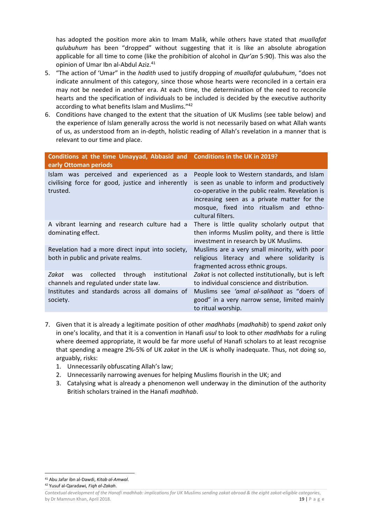has adopted the position more akin to Imam Malik, while others have stated that *muallafat qulubuhum* has been "dropped" without suggesting that it is like an absolute abrogation applicable for all time to come (like the prohibition of alcohol in *Qur'an* 5:90). This was also the opinion of Umar Ibn al-Abdul Aziz.<sup>41</sup>

- 5. "The action of 'Umar" in the *hadith* used to justify dropping of *muallafat qulubuhum*, "does not indicate annulment of this category, since those whose hearts were reconciled in a certain era may not be needed in another era. At each time, the determination of the need to reconcile hearts and the specification of individuals to be included is decided by the executive authority according to what benefits Islam and Muslims."<sup>42</sup>
- 6. Conditions have changed to the extent that the situation of UK Muslims (see table below) and the experience of Islam generally across the world is not necessarily based on what Allah wants of us, as understood from an in-depth, holistic reading of Allah's revelation in a manner that is relevant to our time and place.

| Conditions at the time Umayyad, Abbasid and Conditions in the UK in 2019?<br>early Ottoman periods        |                                                                                                                                                                                                                                                               |
|-----------------------------------------------------------------------------------------------------------|---------------------------------------------------------------------------------------------------------------------------------------------------------------------------------------------------------------------------------------------------------------|
| Islam was perceived and experienced as a<br>civilising force for good, justice and inherently<br>trusted. | People look to Western standards, and Islam<br>is seen as unable to inform and productively<br>co-operative in the public realm. Revelation is<br>increasing seen as a private matter for the<br>mosque, fixed into ritualism and ethno-<br>cultural filters. |
| A vibrant learning and research culture had a<br>dominating effect.                                       | There is little quality scholarly output that<br>then informs Muslim polity, and there is little<br>investment in research by UK Muslims.                                                                                                                     |
| Revelation had a more direct input into society,<br>both in public and private realms.                    | Muslims are a very small minority, with poor<br>religious literacy and where solidarity is<br>fragmented across ethnic groups.                                                                                                                                |
| collected through institutional<br>Zakat<br>was<br>channels and regulated under state law.                | Zakat is not collected institutionally, but is left<br>to individual conscience and distribution.                                                                                                                                                             |
| Institutes and standards across all domains of<br>society.                                                | Muslims see <i>'amal al-salihaat</i> as "doers of<br>good" in a very narrow sense, limited mainly<br>to ritual worship.                                                                                                                                       |

- 7. Given that it is already a legitimate position of other *madhhabs* (*madhahib*) to spend *zakat* only in one's locality, and that it is a convention in Hanafi *usul* to look to other *madhhabs* for a ruling where deemed appropriate, it would be far more useful of Hanafi scholars to at least recognise that spending a meagre 2%-5% of UK *zakat* in the UK is wholly inadequate. Thus, not doing so, arguably, risks:
	- 1. Unnecessarily obfuscating Allah's law;
	- 2. Unnecessarily narrowing avenues for helping Muslims flourish in the UK; and
	- 3. Catalysing what is already a phenomenon well underway in the diminution of the authority British scholars trained in the Hanafi *madhhab*.

1 <sup>41</sup> Abu Jafar ibn al-Dawdi, *Kitab al-Amwal*.

<sup>42</sup> Yusuf al-Qaradawi*, Fiqh al-Zakah*.

*Contextual development of the Hanafi madhhab: implications for UK Muslims sending zakat abroad & the eight zakat-eligible categories*, by Dr Mamnun Khan, April 2018. 19 | P a g e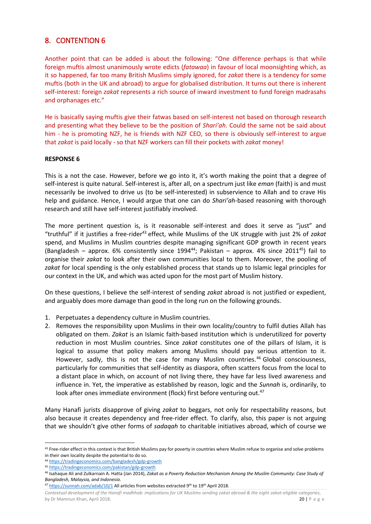### <span id="page-19-0"></span>8. CONTENTION 6

Another point that can be added is about the following: "One difference perhaps is that while foreign muftis almost unanimously wrote edicts (*fatawaa*) in favour of local moonsighting which, as it so happened, far too many British Muslims simply ignored, for *zakat* there is a tendency for some muftis (both in the UK and abroad) to argue for globalised distribution. It turns out there is inherent self-interest: foreign *zakat* represents a rich source of inward investment to fund foreign madrasahs and orphanages etc."

He is basically saying muftis give their fatwas based on self-interest not based on thorough research and presenting what they believe to be the position of *Shari'ah*. Could the same not be said about him - he is promoting NZF, he is friends with NZF CEO, so there is obviously self-interest to argue that *zakat* is paid locally - so that NZF workers can fill their pockets with *zakat* money!

#### **RESPONSE 6**

This is a not the case. However, before we go into it, it's worth making the point that a degree of self-interest is quite natural. Self-interest is, after all, on a spectrum just like *eman* (faith) is and must necessarily be involved to drive us (to be self-interested) in subservience to Allah and to crave His help and guidance. Hence, I would argue that one can do *Shari'ah*-based reasoning with thorough research and still have self-interest justifiably involved.

The more pertinent question is, is it reasonable self-interest and does it serve as "just" and "truthful" if it justifies a free-rider<sup>43</sup> effect, while Muslims of the UK struggle with just 2% of zakat spend, and Muslims in Muslim countries despite managing significant GDP growth in recent years (Bangladesh – approx. 6% consistently since 1994<sup>44</sup>; Pakistan – approx. 4% since 2011<sup>45</sup>) fail to organise their *zakat* to look after their own communities local to them. Moreover, the pooling of *zakat* for local spending is the only established process that stands up to Islamic legal principles for our context in the UK, and which was acted upon for the most part of Muslim history.

On these questions, I believe the self-interest of sending *zakat* abroad is not justified or expedient, and arguably does more damage than good in the long run on the following grounds.

- 1. Perpetuates a dependency culture in Muslim countries.
- 2. Removes the responsibility upon Muslims in their own locality/country to fulfil duties Allah has obligated on them. *Zakat* is an Islamic faith‐based institution which is underutilized for poverty reduction in most Muslim countries. Since *zakat* constitutes one of the pillars of Islam, it is logical to assume that policy makers among Muslims should pay serious attention to it. However, sadly, this is not the case for many Muslim countries.<sup>46</sup> Global consciousness, particularly for communities that self-identity as diaspora, often scatters focus from the local to a distant place in which, on account of not living there, they have far less lived awareness and influence in. Yet, the imperative as established by reason, logic and the *Sunnah* is, ordinarily, to look after ones immediate environment (flock) first before venturing out.<sup>47</sup>

Many Hanafi jurists disapprove of giving *zakat* to beggars, not only for respectability reasons, but also because it creates dependency and free-rider effect. To clarify, also, this paper is not arguing that we shouldn't give other forms of *sadaqah* to charitable initiatives abroad, which of course we

**.** 

*Contextual development of the Hanafi madhhab: implications for UK Muslims sending zakat abroad & the eight zakat-eligible categories*, by Dr Mamnun Khan, April 2018. 2018 2018 2018 2019 20 | P a g e

<sup>43</sup> Free-rider effect in this context is that British Muslims pay for poverty in countries where Muslim refuse to organise and solve problems in their own locality despite the potential to do so.

<sup>44</sup> <https://tradingeconomics.com/bangladesh/gdp-growth>

<sup>45</sup> <https://tradingeconomics.com/pakistan/gdp-growth>

<sup>46</sup> Isahaque Ali and Zulkarnain A. Hatta (Jan 2014), *Zakat as a Poverty Reduction Mechanism Among the Muslim Community: Case Study of Bangladesh, Malaysia, and Indonesia*.

<sup>&</sup>lt;sup>47</sup> <https://sunnah.com/adab/10/1> All articles from websites extracted 9<sup>th</sup> to 19<sup>th</sup> April 2018.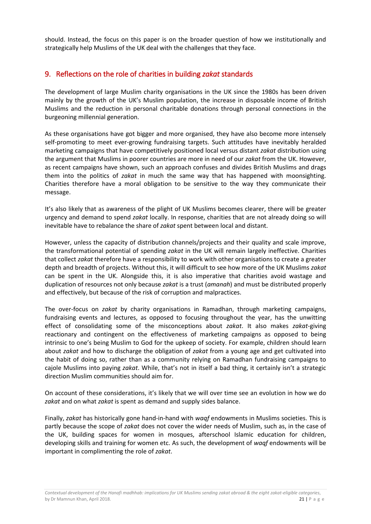should. Instead, the focus on this paper is on the broader question of how we institutionally and strategically help Muslims of the UK deal with the challenges that they face.

### <span id="page-20-0"></span>9. Reflections on the role of charities in building *zakat* standards

The development of large Muslim charity organisations in the UK since the 1980s has been driven mainly by the growth of the UK's Muslim population, the increase in disposable income of British Muslims and the reduction in personal charitable donations through personal connections in the burgeoning millennial generation.

As these organisations have got bigger and more organised, they have also become more intensely self-promoting to meet ever-growing fundraising targets. Such attitudes have inevitably heralded marketing campaigns that have competitively positioned local versus distant *zakat* distribution using the argument that Muslims in poorer countries are more in need of our *zakat* from the UK. However, as recent campaigns have shown, such an approach confuses and divides British Muslims and drags them into the politics of *zakat* in much the same way that has happened with moonsighting. Charities therefore have a moral obligation to be sensitive to the way they communicate their message.

It's also likely that as awareness of the plight of UK Muslims becomes clearer, there will be greater urgency and demand to spend *zakat* locally. In response, charities that are not already doing so will inevitable have to rebalance the share of *zakat* spent between local and distant.

However, unless the capacity of distribution channels/projects and their quality and scale improve, the transformational potential of spending *zakat* in the UK will remain largely ineffective. Charities that collect *zakat* therefore have a responsibility to work with other organisations to create a greater depth and breadth of projects. Without this, it will difficult to see how more of the UK Muslims *zakat* can be spent in the UK. Alongside this, it is also imperative that charities avoid wastage and duplication of resources not only because *zakat* is a trust (*amanah*) and must be distributed properly and effectively, but because of the risk of corruption and malpractices.

The over-focus on *zakat* by charity organisations in Ramadhan, through marketing campaigns, fundraising events and lectures, as opposed to focusing throughout the year, has the unwitting effect of consolidating some of the misconceptions about *zakat*. It also makes *zakat*-giving reactionary and contingent on the effectiveness of marketing campaigns as opposed to being intrinsic to one's being Muslim to God for the upkeep of society. For example, children should learn about *zakat* and how to discharge the obligation of *zakat* from a young age and get cultivated into the habit of doing so, rather than as a community relying on Ramadhan fundraising campaigns to cajole Muslims into paying *zakat*. While, that's not in itself a bad thing, it certainly isn't a strategic direction Muslim communities should aim for.

On account of these considerations, it's likely that we will over time see an evolution in how we do *zakat* and on what *zakat* is spent as demand and supply sides balance.

Finally, *zakat* has historically gone hand-in-hand with *waqf* endowments in Muslims societies. This is partly because the scope of *zakat* does not cover the wider needs of Muslim, such as, in the case of the UK, building spaces for women in mosques, afterschool Islamic education for children, developing skills and training for women etc. As such, the development of *waqf* endowments will be important in complimenting the role of *zakat*.